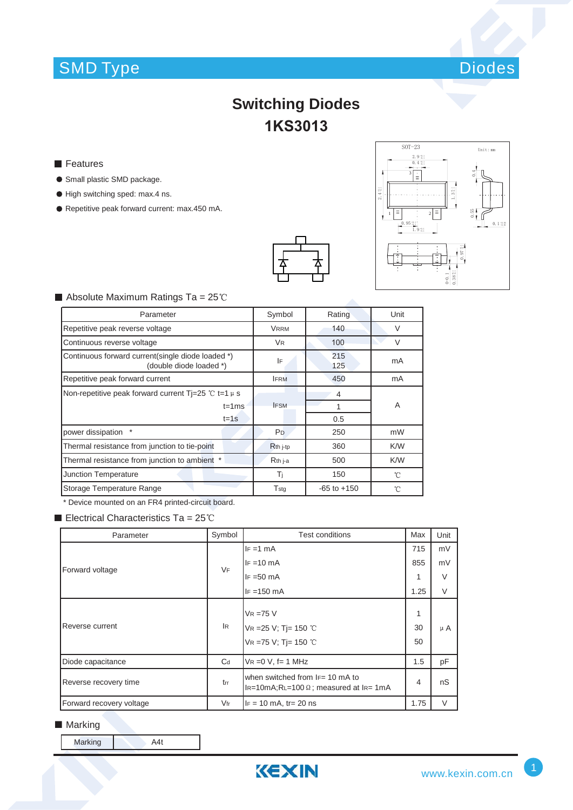# SMD Type Diodes



## **Switching Diodes 1KS3013**

- **Features**
- **Small plastic SMD package.**
- $\bullet$  High switching sped: max.4 ns.
- Repetitive peak forward current: max.450 mA.





#### $\blacksquare$  Absolute Maximum Ratings Ta = 25°C

| Parameter                                                                    | Symbol               | Rating          | Unit   |
|------------------------------------------------------------------------------|----------------------|-----------------|--------|
| Repetitive peak reverse voltage                                              | <b>VRRM</b>          | 140             | $\vee$ |
| Continuous reverse voltage                                                   | <b>V<sub>R</sub></b> | 100             | $\vee$ |
| Continuous forward current(single diode loaded *)<br>(double diode loaded *) | IF                   | 215<br>125      | mA     |
| Repetitive peak forward current                                              | <b>IFRM</b>          | 450             | mA     |
| Non-repetitive peak forward current Ti=25 °C t=1 $\mu$ s                     |                      | 4               |        |
| $t = 1ms$                                                                    | <b>IFSM</b>          |                 | A      |
| $t = 1s$                                                                     |                      | 0.5             |        |
| power dissipation                                                            | P <sub>D</sub>       | 250             | mW     |
| Thermal resistance from junction to tie-point                                | R <sub>th</sub> j-tp | 360             | K/W    |
| Thermal resistance from junction to ambient *                                | R <sub>th</sub> j-a  | 500             | K/W    |
| <b>Junction Temperature</b>                                                  | Τì                   | 150             | °C     |
| Storage Temperature Range                                                    | $T_{\rm stg}$        | $-65$ to $+150$ | °C     |

\* Device mounted on an FR4 printed-circuit board.

Electrical Characteristics Ta =  $25^{\circ}$ C

| Parameter                | Symbol    | Test conditions                                                                          | Max            | Unit    |
|--------------------------|-----------|------------------------------------------------------------------------------------------|----------------|---------|
| Forward voltage          | <b>VF</b> | $IF = 1 mA$                                                                              | 715            | mV      |
|                          |           | $IF = 10 mA$                                                                             | 855            | mV      |
|                          |           | $IF = 50 mA$                                                                             | 1              | $\vee$  |
|                          |           | $IF = 150 mA$                                                                            | 1.25           | $\vee$  |
| Reverse current          | IR.       | $V_R = 75 V$<br>VR = 25 V; Tj = 150 °C<br>VR = 75 V; Tj = 150 °C                         | 1<br>30<br>50  | $\mu$ A |
| Diode capacitance        | $C_d$     | $VR = 0 V$ , f= 1 MHz                                                                    | 1.5            | pF      |
| Reverse recovery time    | trr       | when switched from $F = 10$ mA to<br>$I_{R=10m}$ A;RL=100 $\Omega$ ; measured at IR= 1mA | $\overline{4}$ | nS      |
| Forward recovery voltage | $V$ fr    | $IF = 10 mA$ , tr= 20 ns                                                                 | 1.75           | $\vee$  |

### ■ Marking

Marking A4t

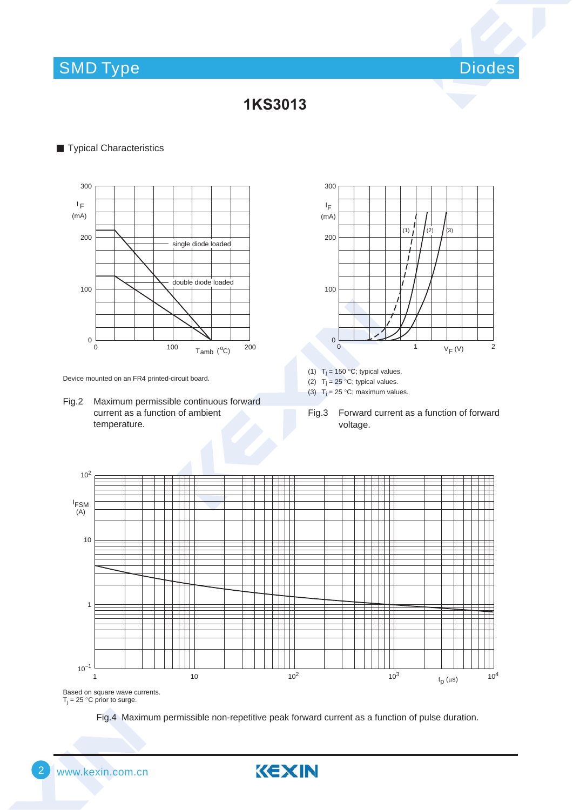## SMD Type Diodes and Diodes and Diodes and Diodes and Diodes and Diodes and Diodes and Diodes and Diodes and Diodes

### **1KS3013**

#### **Typical Characteristics**



Device mounted on an FR4 printed-circuit board.

Fig.2 Maximum permissible continuous forward current as a function of ambient temperature.



(1)  $T_j = 150 °C$ ; typical values.

(2)  $T_j = 25 \degree C$ ; typical values.

(3)  $T_j = 25 °C$ ; maximum values.

Fig.3 Forward current as a function of forward voltage.



 $T_j = 25 \degree C$  prior to surge.

KEXIN

Fig.4 Maximum permissible non-repetitive peak forward current as a function of pulse duration.